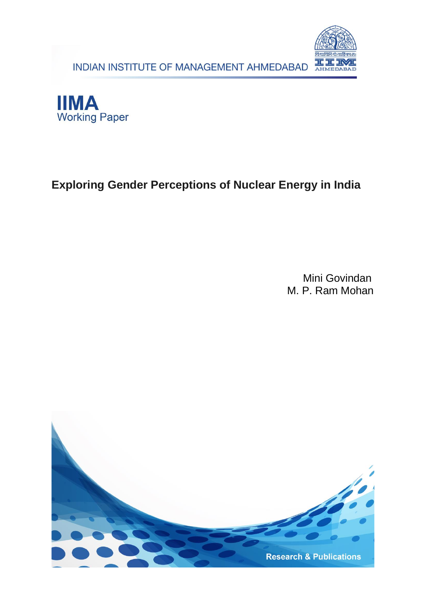INDIAN INSTITUTE OF MANAGEMENT AHMEDABAD





# **Exploring Gender Perceptions of Nuclear Energy in India**

Mini Govindan M. P. Ram Mohan

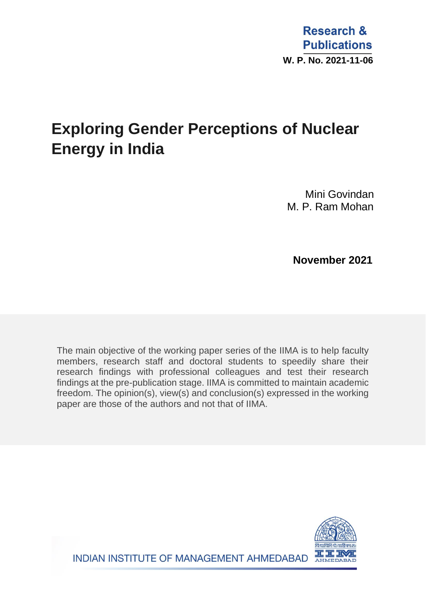# **Exploring Gender Perceptions of Nuclear Energy in India**

Mini Govindan M. P. Ram Mohan

 **November 2021**

The main objective of the working paper series of the IIMA is to help faculty members, research staff and doctoral students to speedily share their research findings with professional colleagues and test their research findings at the pre-publication stage. IIMA is committed to maintain academic freedom. The opinion(s), view(s) and conclusion(s) expressed in the working paper are those of the authors and not that of IIMA.

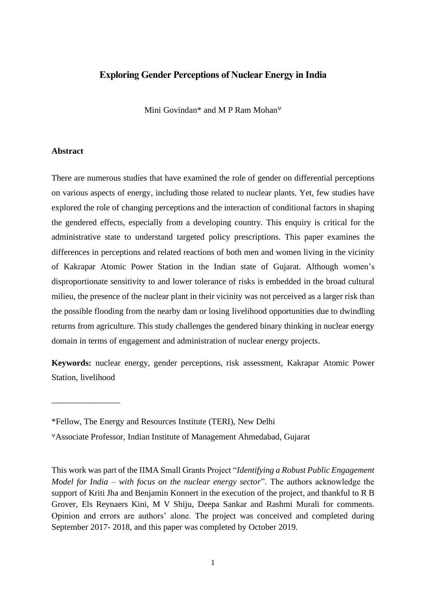### **Exploring Gender Perceptions of Nuclear Energy in India**

Mini Govindan\* and M P Ram Mohan

#### **Abstract**

\_\_\_\_\_\_\_\_\_\_\_\_\_\_\_\_

There are numerous studies that have examined the role of gender on differential perceptions on various aspects of energy, including those related to nuclear plants. Yet, few studies have explored the role of changing perceptions and the interaction of conditional factors in shaping the gendered effects, especially from a developing country. This enquiry is critical for the administrative state to understand targeted policy prescriptions. This paper examines the differences in perceptions and related reactions of both men and women living in the vicinity of Kakrapar Atomic Power Station in the Indian state of Gujarat. Although women's disproportionate sensitivity to and lower tolerance of risks is embedded in the broad cultural milieu, the presence of the nuclear plant in their vicinity was not perceived as a larger risk than the possible flooding from the nearby dam or losing livelihood opportunities due to dwindling returns from agriculture. This study challenges the gendered binary thinking in nuclear energy domain in terms of engagement and administration of nuclear energy projects.

**Keywords:** nuclear energy, gender perceptions, risk assessment, Kakrapar Atomic Power Station, livelihood

<sup>\*</sup>Fellow, The Energy and Resources Institute (TERI), New Delhi

Associate Professor, Indian Institute of Management Ahmedabad, Gujarat

This work was part of the IIMA Small Grants Project "*Identifying a Robust Public Engagement Model for India – with focus on the nuclear energy sector*". The authors acknowledge the support of Kriti Jha and Benjamin Konnert in the execution of the project, and thankful to R B Grover, Els Reynaers Kini, M V Shiju, Deepa Sankar and Rashmi Murali for comments. Opinion and errors are authors' alone. The project was conceived and completed during September 2017- 2018, and this paper was completed by October 2019.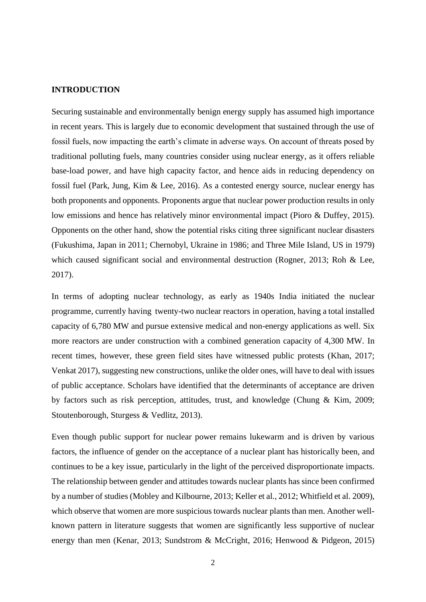#### **INTRODUCTION**

Securing sustainable and environmentally benign energy supply has assumed high importance in recent years. This is largely due to economic development that sustained through the use of fossil fuels, now impacting the earth's climate in adverse ways. On account of threats posed by traditional polluting fuels, many countries consider using nuclear energy, as it offers reliable base-load power, and have high capacity factor, and hence aids in reducing dependency on fossil fuel (Park, Jung, Kim & Lee, 2016). As a contested energy source, nuclear energy has both proponents and opponents. Proponents argue that nuclear power production results in only low emissions and hence has relatively minor environmental impact (Pioro & Duffey, 2015). Opponents on the other hand, show the potential risks citing three significant nuclear disasters (Fukushima, Japan in 2011; Chernobyl, Ukraine in 1986; and Three Mile Island, US in 1979) which caused significant social and environmental destruction (Rogner, 2013; Roh & Lee, 2017).

In terms of adopting nuclear technology, as early as 1940s India initiated the nuclear programme, currently having twenty-two nuclear reactors in operation, having a total installed capacity of 6,780 MW and pursue extensive medical and non-energy applications as well. Six more reactors are under construction with a combined generation capacity of 4,300 MW. In recent times, however, these green field sites have witnessed public protests (Khan, 2017; Venkat 2017), suggesting new constructions, unlike the older ones, will have to deal with issues of public acceptance. Scholars have identified that the determinants of acceptance are driven by factors such as risk perception, attitudes, trust, and knowledge (Chung & Kim, 2009; Stoutenborough, Sturgess & Vedlitz, 2013).

Even though public support for nuclear power remains lukewarm and is driven by various factors, the influence of gender on the acceptance of a nuclear plant has historically been, and continues to be a key issue, particularly in the light of the perceived disproportionate impacts. The relationship between gender and attitudes towards nuclear plants has since been confirmed by a number of studies (Mobley and Kilbourne, 2013; Keller et al., 2012; Whitfield et al. 2009), which observe that women are more suspicious towards nuclear plants than men. Another wellknown pattern in literature suggests that women are significantly less supportive of nuclear energy than men (Kenar, 2013; Sundstrom & McCright, 2016; Henwood & Pidgeon, 2015)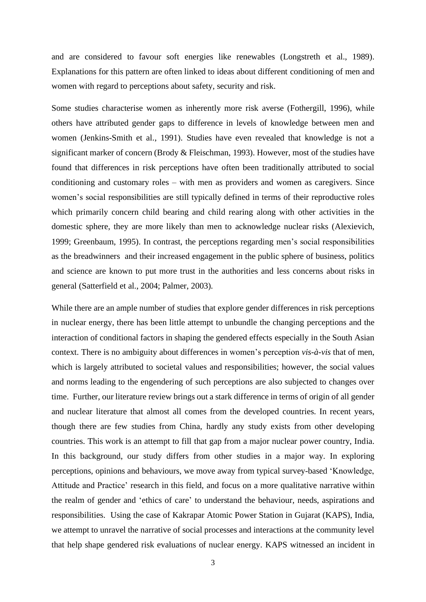and are considered to favour soft energies like renewables (Longstreth et al., 1989). Explanations for this pattern are often linked to ideas about different conditioning of men and women with regard to perceptions about safety, security and risk.

Some studies characterise women as inherently more risk averse (Fothergill, 1996), while others have attributed gender gaps to difference in levels of knowledge between men and women (Jenkins-Smith et al., 1991). Studies have even revealed that knowledge is not a significant marker of concern (Brody & Fleischman, 1993). However, most of the studies have found that differences in risk perceptions have often been traditionally attributed to social conditioning and customary roles – with men as providers and women as caregivers. Since women's social responsibilities are still typically defined in terms of their reproductive roles which primarily concern child bearing and child rearing along with other activities in the domestic sphere, they are more likely than men to acknowledge nuclear risks (Alexievich, 1999; Greenbaum, 1995). In contrast, the perceptions regarding men's social responsibilities as the breadwinners and their increased engagement in the public sphere of business, politics and science are known to put more trust in the authorities and less concerns about risks in general (Satterfield et al., 2004; Palmer, 2003).

While there are an ample number of studies that explore gender differences in risk perceptions in nuclear energy, there has been little attempt to unbundle the changing perceptions and the interaction of conditional factors in shaping the gendered effects especially in the South Asian context. There is no ambiguity about differences in women's perception *vis-à-vis* that of men, which is largely attributed to societal values and responsibilities; however, the social values and norms leading to the engendering of such perceptions are also subjected to changes over time. Further, our literature review brings out a stark difference in terms of origin of all gender and nuclear literature that almost all comes from the developed countries. In recent years, though there are few studies from China, hardly any study exists from other developing countries. This work is an attempt to fill that gap from a major nuclear power country, India. In this background, our study differs from other studies in a major way. In exploring perceptions, opinions and behaviours, we move away from typical survey-based 'Knowledge, Attitude and Practice' research in this field, and focus on a more qualitative narrative within the realm of gender and 'ethics of care' to understand the behaviour, needs, aspirations and responsibilities. Using the case of Kakrapar Atomic Power Station in Gujarat (KAPS), India, we attempt to unravel the narrative of social processes and interactions at the community level that help shape gendered risk evaluations of nuclear energy. KAPS witnessed an incident in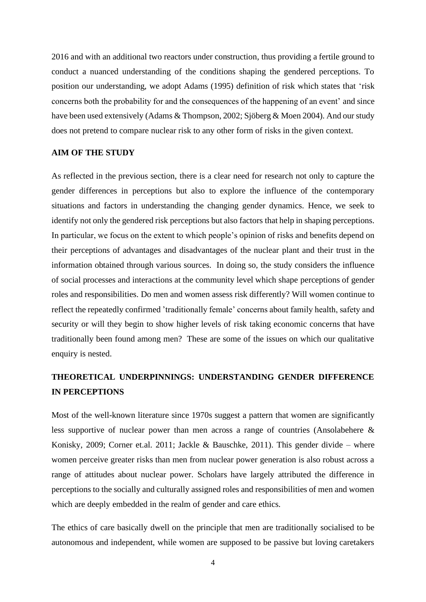2016 and with an additional two reactors under construction, thus providing a fertile ground to conduct a nuanced understanding of the conditions shaping the gendered perceptions. To position our understanding, we adopt Adams (1995) definition of risk which states that 'risk concerns both the probability for and the consequences of the happening of an event' and since have been used extensively (Adams & Thompson, 2002; Sjöberg & Moen 2004). And our study does not pretend to compare nuclear risk to any other form of risks in the given context.

#### **AIM OF THE STUDY**

As reflected in the previous section, there is a clear need for research not only to capture the gender differences in perceptions but also to explore the influence of the contemporary situations and factors in understanding the changing gender dynamics. Hence, we seek to identify not only the gendered risk perceptions but also factors that help in shaping perceptions. In particular, we focus on the extent to which people's opinion of risks and benefits depend on their perceptions of advantages and disadvantages of the nuclear plant and their trust in the information obtained through various sources. In doing so, the study considers the influence of social processes and interactions at the community level which shape perceptions of gender roles and responsibilities. Do men and women assess risk differently? Will women continue to reflect the repeatedly confirmed 'traditionally female' concerns about family health, safety and security or will they begin to show higher levels of risk taking economic concerns that have traditionally been found among men? These are some of the issues on which our qualitative enquiry is nested.

## **THEORETICAL UNDERPINNINGS: UNDERSTANDING GENDER DIFFERENCE IN PERCEPTIONS**

Most of the well-known literature since 1970s suggest a pattern that women are significantly less supportive of nuclear power than men across a range of countries (Ansolabehere & Konisky, 2009; Corner et.al. 2011; Jackle & Bauschke, 2011). This gender divide – where women perceive greater risks than men from nuclear power generation is also robust across a range of attitudes about nuclear power. Scholars have largely attributed the difference in perceptions to the socially and culturally assigned roles and responsibilities of men and women which are deeply embedded in the realm of gender and care ethics.

The ethics of care basically dwell on the principle that men are traditionally socialised to be autonomous and independent, while women are supposed to be passive but loving caretakers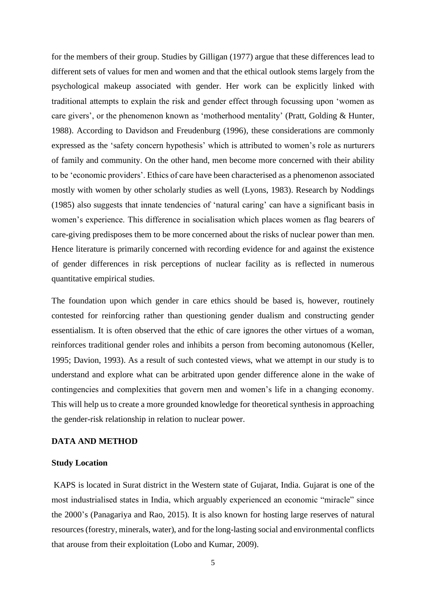for the members of their group. Studies by Gilligan (1977) argue that these differences lead to different sets of values for men and women and that the ethical outlook stems largely from the psychological makeup associated with gender. Her work can be explicitly linked with traditional attempts to explain the risk and gender effect through focussing upon 'women as care givers', or the phenomenon known as 'motherhood mentality' (Pratt, Golding & Hunter, 1988). According to Davidson and Freudenburg (1996), these considerations are commonly expressed as the 'safety concern hypothesis' which is attributed to women's role as nurturers of family and community. On the other hand, men become more concerned with their ability to be 'economic providers'. Ethics of care have been characterised as a phenomenon associated mostly with women by other scholarly studies as well (Lyons, 1983). Research by Noddings (1985) also suggests that innate tendencies of 'natural caring' can have a significant basis in women's experience. This difference in socialisation which places women as flag bearers of care-giving predisposes them to be more concerned about the risks of nuclear power than men. Hence literature is primarily concerned with recording evidence for and against the existence of gender differences in risk perceptions of nuclear facility as is reflected in numerous quantitative empirical studies.

The foundation upon which gender in care ethics should be based is, however, routinely contested for reinforcing rather than questioning gender dualism and constructing gender essentialism. It is often observed that the ethic of care ignores the other virtues of a woman, reinforces traditional gender roles and inhibits a person from becoming autonomous (Keller, 1995; Davion, 1993). As a result of such contested views, what we attempt in our study is to understand and explore what can be arbitrated upon gender difference alone in the wake of contingencies and complexities that govern men and women's life in a changing economy. This will help us to create a more grounded knowledge for theoretical synthesis in approaching the gender-risk relationship in relation to nuclear power.

#### **DATA AND METHOD**

#### **Study Location**

KAPS is located in Surat district in the Western state of Gujarat, India. Gujarat is one of the most industrialised states in India, which arguably experienced an economic "miracle" since the 2000's (Panagariya and Rao, 2015). It is also known for hosting large reserves of natural resources (forestry, minerals, water), and for the long-lasting social and environmental conflicts that arouse from their exploitation (Lobo and Kumar, 2009).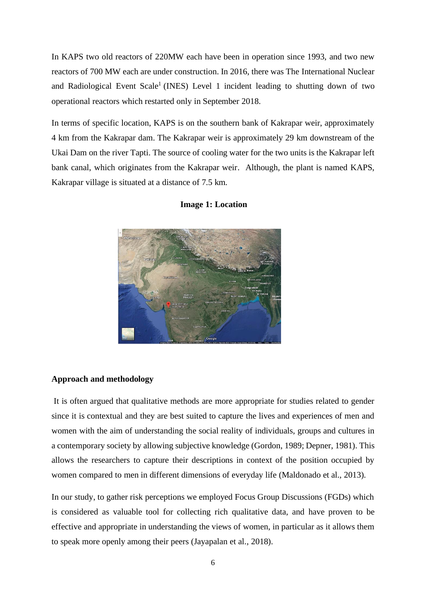In KAPS two old reactors of 220MW each have been in operation since 1993, and two new reactors of 700 MW each are under construction. In 2016, there was The International Nuclear and Radiological Event Scale<sup>1</sup> (INES) Level 1 incident leading to shutting down of two operational reactors which restarted only in September 2018.

In terms of specific location, KAPS is on the southern bank of Kakrapar weir, approximately 4 km from the Kakrapar dam. The Kakrapar weir is approximately 29 km downstream of the Ukai Dam on the river Tapti. The source of cooling water for the two units is the Kakrapar left bank canal, which originates from the Kakrapar weir. Although, the plant is named KAPS, Kakrapar village is situated at a distance of 7.5 km.



**Image 1: Location**

#### **Approach and methodology**

It is often argued that qualitative methods are more appropriate for studies related to gender since it is contextual and they are best suited to capture the lives and experiences of men and women with the aim of understanding the social reality of individuals, groups and cultures in a contemporary society by allowing subjective knowledge (Gordon, 1989; Depner, 1981). This allows the researchers to capture their descriptions in context of the position occupied by women compared to men in different dimensions of everyday life (Maldonado et al., 2013).

In our study, to gather risk perceptions we employed Focus Group Discussions (FGDs) which is considered as valuable tool for collecting rich qualitative data, and have proven to be effective and appropriate in understanding the views of women, in particular as it allows them to speak more openly among their peers (Jayapalan et al., 2018).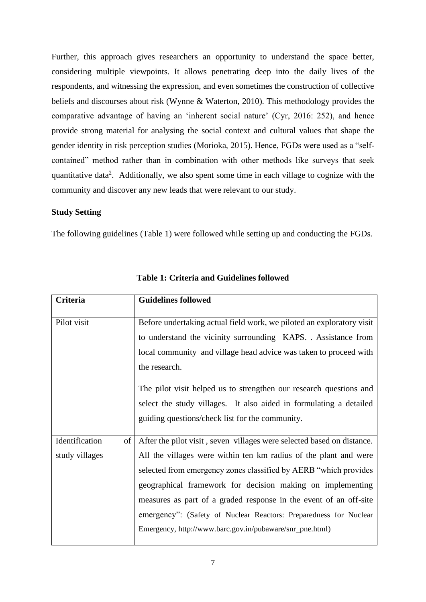Further, this approach gives researchers an opportunity to understand the space better, considering multiple viewpoints. It allows penetrating deep into the daily lives of the respondents, and witnessing the expression, and even sometimes the construction of collective beliefs and discourses about risk (Wynne & Waterton, 2010). This methodology provides the comparative advantage of having an 'inherent social nature' (Cyr, 2016: 252), and hence provide strong material for analysing the social context and cultural values that shape the gender identity in risk perception studies (Morioka, 2015). Hence, FGDs were used as a "selfcontained" method rather than in combination with other methods like surveys that seek quantitative data<sup>2</sup>. Additionally, we also spent some time in each village to cognize with the community and discover any new leads that were relevant to our study.

#### **Study Setting**

The following guidelines (Table 1) were followed while setting up and conducting the FGDs.

| Criteria                         |    | <b>Guidelines followed</b>                                                                                                                                                                                                                                                                                                                                                                                                                                                          |
|----------------------------------|----|-------------------------------------------------------------------------------------------------------------------------------------------------------------------------------------------------------------------------------------------------------------------------------------------------------------------------------------------------------------------------------------------------------------------------------------------------------------------------------------|
| Pilot visit                      |    | Before undertaking actual field work, we piloted an exploratory visit<br>to understand the vicinity surrounding KAPS. . Assistance from<br>local community and village head advice was taken to proceed with<br>the research.<br>The pilot visit helped us to strengthen our research questions and<br>select the study villages. It also aided in formulating a detailed<br>guiding questions/check list for the community.                                                        |
| Identification<br>study villages | of | After the pilot visit, seven villages were selected based on distance.<br>All the villages were within ten km radius of the plant and were<br>selected from emergency zones classified by AERB "which provides"<br>geographical framework for decision making on implementing<br>measures as part of a graded response in the event of an off-site<br>emergency": (Safety of Nuclear Reactors: Preparedness for Nuclear<br>Emergency, http://www.barc.gov.in/pubaware/snr_pne.html) |

**Table 1: Criteria and Guidelines followed**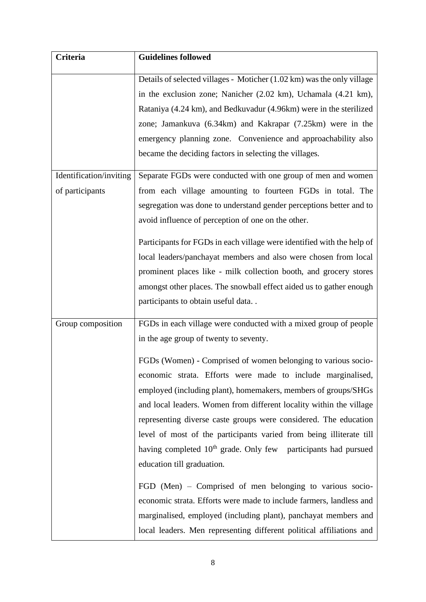| <b>Criteria</b>         | <b>Guidelines followed</b>                                                 |
|-------------------------|----------------------------------------------------------------------------|
|                         | Details of selected villages - Moticher (1.02 km) was the only village     |
|                         | in the exclusion zone; Nanicher (2.02 km), Uchamala (4.21 km),             |
|                         | Rataniya (4.24 km), and Bedkuvadur (4.96 km) were in the sterilized        |
|                         | zone; Jamankuva (6.34km) and Kakrapar (7.25km) were in the                 |
|                         | emergency planning zone. Convenience and approachability also              |
|                         | became the deciding factors in selecting the villages.                     |
| Identification/inviting | Separate FGDs were conducted with one group of men and women               |
| of participants         | from each village amounting to fourteen FGDs in total. The                 |
|                         | segregation was done to understand gender perceptions better and to        |
|                         | avoid influence of perception of one on the other.                         |
|                         | Participants for FGDs in each village were identified with the help of     |
|                         | local leaders/panchayat members and also were chosen from local            |
|                         | prominent places like - milk collection booth, and grocery stores          |
|                         | amongst other places. The snowball effect aided us to gather enough        |
|                         | participants to obtain useful data                                         |
| Group composition       | FGDs in each village were conducted with a mixed group of people           |
|                         | in the age group of twenty to seventy.                                     |
|                         | FGDs (Women) - Comprised of women belonging to various socio-              |
|                         | economic strata. Efforts were made to include marginalised,                |
|                         | employed (including plant), homemakers, members of groups/SHGs             |
|                         | and local leaders. Women from different locality within the village        |
|                         | representing diverse caste groups were considered. The education           |
|                         | level of most of the participants varied from being illiterate till        |
|                         | having completed 10 <sup>th</sup> grade. Only few participants had pursued |
|                         | education till graduation.                                                 |
|                         | FGD (Men) $-$ Comprised of men belonging to various socio-                 |
|                         | economic strata. Efforts were made to include farmers, landless and        |
|                         | marginalised, employed (including plant), panchayat members and            |
|                         | local leaders. Men representing different political affiliations and       |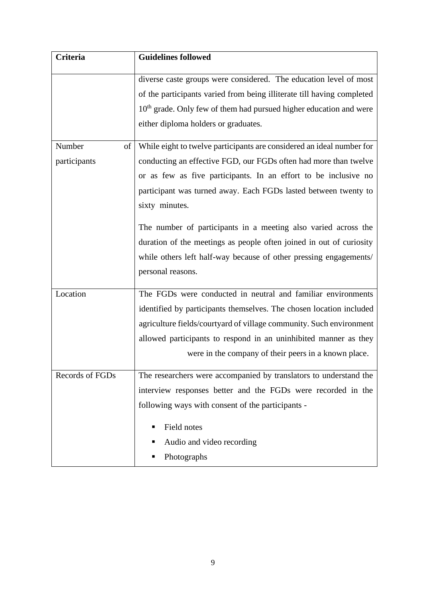| Criteria        | <b>Guidelines followed</b>                                                     |
|-----------------|--------------------------------------------------------------------------------|
|                 | diverse caste groups were considered. The education level of most              |
|                 | of the participants varied from being illiterate till having completed         |
|                 | 10 <sup>th</sup> grade. Only few of them had pursued higher education and were |
|                 | either diploma holders or graduates.                                           |
| Number<br>of    | While eight to twelve participants are considered an ideal number for          |
| participants    | conducting an effective FGD, our FGDs often had more than twelve               |
|                 | or as few as five participants. In an effort to be inclusive no                |
|                 | participant was turned away. Each FGDs lasted between twenty to                |
|                 | sixty minutes.                                                                 |
|                 | The number of participants in a meeting also varied across the                 |
|                 | duration of the meetings as people often joined in out of curiosity            |
|                 | while others left half-way because of other pressing engagements/              |
|                 | personal reasons.                                                              |
| Location        | The FGDs were conducted in neutral and familiar environments                   |
|                 | identified by participants themselves. The chosen location included            |
|                 | agriculture fields/courtyard of village community. Such environment            |
|                 | allowed participants to respond in an uninhibited manner as they               |
|                 | were in the company of their peers in a known place.                           |
| Records of FGDs | The researchers were accompanied by translators to understand the              |
|                 | interview responses better and the FGDs were recorded in the                   |
|                 | following ways with consent of the participants -                              |
|                 | Field notes<br>п                                                               |
|                 | Audio and video recording<br>п                                                 |
|                 | Photographs<br>п                                                               |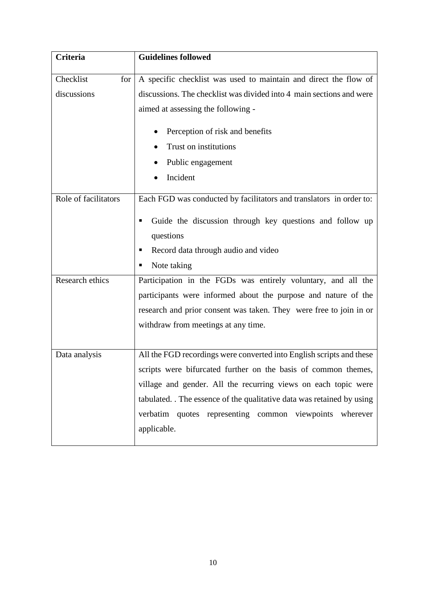| <b>Criteria</b>      | <b>Guidelines followed</b>                                           |
|----------------------|----------------------------------------------------------------------|
|                      |                                                                      |
| Checklist<br>for     | A specific checklist was used to maintain and direct the flow of     |
| discussions          | discussions. The checklist was divided into 4 main sections and were |
|                      | aimed at assessing the following -                                   |
|                      | Perception of risk and benefits                                      |
|                      | Trust on institutions                                                |
|                      | Public engagement                                                    |
|                      | Incident                                                             |
| Role of facilitators | Each FGD was conducted by facilitators and translators in order to:  |
|                      | Guide the discussion through key questions and follow up             |
|                      | questions                                                            |
|                      | Record data through audio and video<br>п                             |
|                      | Note taking<br>п                                                     |
| Research ethics      | Participation in the FGDs was entirely voluntary, and all the        |
|                      | participants were informed about the purpose and nature of the       |
|                      | research and prior consent was taken. They were free to join in or   |
|                      | withdraw from meetings at any time.                                  |
|                      |                                                                      |
| Data analysis        | All the FGD recordings were converted into English scripts and these |
|                      | scripts were bifurcated further on the basis of common themes,       |
|                      | village and gender. All the recurring views on each topic were       |
|                      | tabulated. The essence of the qualitative data was retained by using |
|                      | verbatim quotes representing common viewpoints wherever              |
|                      | applicable.                                                          |
|                      |                                                                      |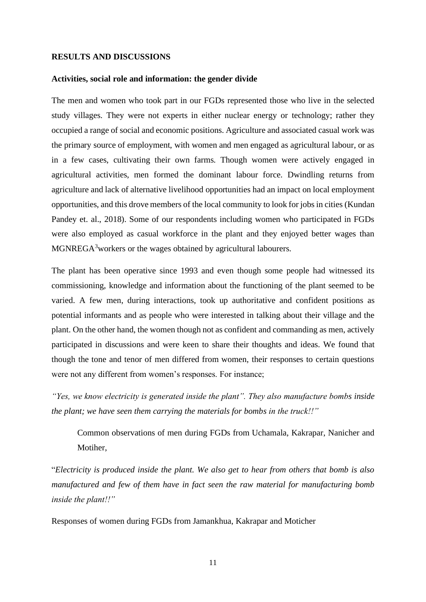#### **RESULTS AND DISCUSSIONS**

#### **Activities, social role and information: the gender divide**

The men and women who took part in our FGDs represented those who live in the selected study villages. They were not experts in either nuclear energy or technology; rather they occupied a range of social and economic positions. Agriculture and associated casual work was the primary source of employment, with women and men engaged as agricultural labour, or as in a few cases, cultivating their own farms. Though women were actively engaged in agricultural activities, men formed the dominant labour force. Dwindling returns from agriculture and lack of alternative livelihood opportunities had an impact on local employment opportunities, and this drove members of the local community to look for jobs in cities (Kundan Pandey et. al., 2018). Some of our respondents including women who participated in FGDs were also employed as casual workforce in the plant and they enjoyed better wages than MGNREGA<sup>3</sup>workers or the wages obtained by agricultural labourers.

The plant has been operative since 1993 and even though some people had witnessed its commissioning, knowledge and information about the functioning of the plant seemed to be varied. A few men, during interactions, took up authoritative and confident positions as potential informants and as people who were interested in talking about their village and the plant. On the other hand, the women though not as confident and commanding as men, actively participated in discussions and were keen to share their thoughts and ideas. We found that though the tone and tenor of men differed from women, their responses to certain questions were not any different from women's responses. For instance;

*"Yes, we know electricity is generated inside the plant". They also manufacture bombs inside the plant; we have seen them carrying the materials for bombs in the truck!!"*

Common observations of men during FGDs from Uchamala, Kakrapar, Nanicher and Motiher,

"*Electricity is produced inside the plant. We also get to hear from others that bomb is also manufactured and few of them have in fact seen the raw material for manufacturing bomb inside the plant!!"*

Responses of women during FGDs from Jamankhua, Kakrapar and Moticher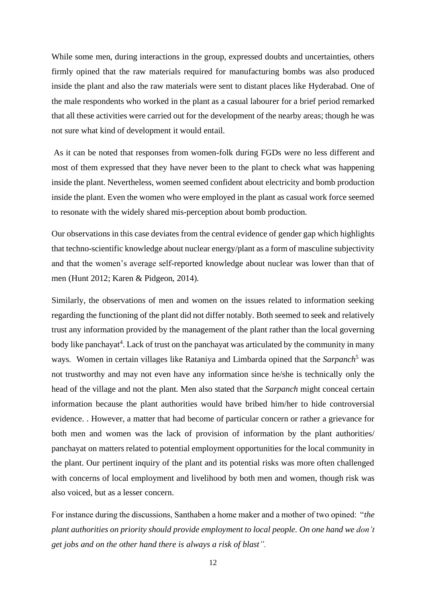While some men, during interactions in the group, expressed doubts and uncertainties, others firmly opined that the raw materials required for manufacturing bombs was also produced inside the plant and also the raw materials were sent to distant places like Hyderabad. One of the male respondents who worked in the plant as a casual labourer for a brief period remarked that all these activities were carried out for the development of the nearby areas; though he was not sure what kind of development it would entail.

As it can be noted that responses from women-folk during FGDs were no less different and most of them expressed that they have never been to the plant to check what was happening inside the plant. Nevertheless, women seemed confident about electricity and bomb production inside the plant. Even the women who were employed in the plant as casual work force seemed to resonate with the widely shared mis-perception about bomb production.

Our observations in this case deviates from the central evidence of gender gap which highlights that techno-scientific knowledge about nuclear energy/plant as a form of masculine subjectivity and that the women's average self-reported knowledge about nuclear was lower than that of men (Hunt 2012; Karen & Pidgeon, 2014).

Similarly, the observations of men and women on the issues related to information seeking regarding the functioning of the plant did not differ notably. Both seemed to seek and relatively trust any information provided by the management of the plant rather than the local governing body like panchayat<sup>4</sup>. Lack of trust on the panchayat was articulated by the community in many ways. Women in certain villages like Rataniya and Limbarda opined that the *Sarpanch*<sup>5</sup> was not trustworthy and may not even have any information since he/she is technically only the head of the village and not the plant. Men also stated that the *Sarpanch* might conceal certain information because the plant authorities would have bribed him/her to hide controversial evidence. . However, a matter that had become of particular concern or rather a grievance for both men and women was the lack of provision of information by the plant authorities/ panchayat on matters related to potential employment opportunities for the local community in the plant. Our pertinent inquiry of the plant and its potential risks was more often challenged with concerns of local employment and livelihood by both men and women, though risk was also voiced, but as a lesser concern.

For instance during the discussions, Santhaben a home maker and a mother of two opined: "*the plant authorities on priority should provide employment to local people. On one hand we don't get jobs and on the other hand there is always a risk of blast".*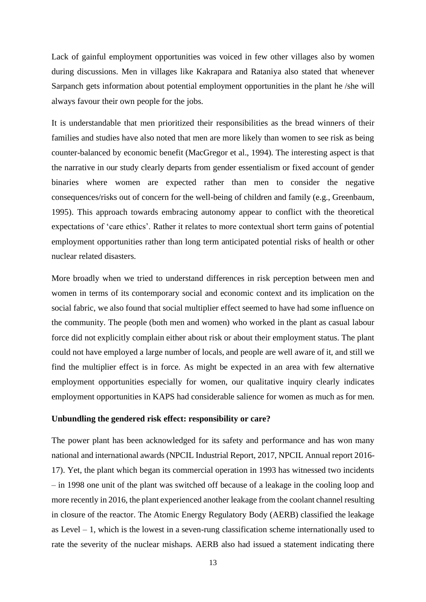Lack of gainful employment opportunities was voiced in few other villages also by women during discussions. Men in villages like Kakrapara and Rataniya also stated that whenever Sarpanch gets information about potential employment opportunities in the plant he /she will always favour their own people for the jobs.

It is understandable that men prioritized their responsibilities as the bread winners of their families and studies have also noted that men are more likely than women to see risk as being counter-balanced by economic benefit (MacGregor et al., 1994). The interesting aspect is that the narrative in our study clearly departs from gender essentialism or fixed account of gender binaries where women are expected rather than men to consider the negative consequences/risks out of concern for the well-being of children and family (e.g., Greenbaum, 1995). This approach towards embracing autonomy appear to conflict with the theoretical expectations of 'care ethics'. Rather it relates to more contextual short term gains of potential employment opportunities rather than long term anticipated potential risks of health or other nuclear related disasters.

More broadly when we tried to understand differences in risk perception between men and women in terms of its contemporary social and economic context and its implication on the social fabric, we also found that social multiplier effect seemed to have had some influence on the community. The people (both men and women) who worked in the plant as casual labour force did not explicitly complain either about risk or about their employment status. The plant could not have employed a large number of locals, and people are well aware of it, and still we find the multiplier effect is in force. As might be expected in an area with few alternative employment opportunities especially for women, our qualitative inquiry clearly indicates employment opportunities in KAPS had considerable salience for women as much as for men.

#### **Unbundling the gendered risk effect: responsibility or care?**

The power plant has been acknowledged for its safety and performance and has won many national and international awards (NPCIL Industrial Report, 2017, NPCIL Annual report 2016- 17). Yet, the plant which began its commercial operation in 1993 has witnessed two incidents – in 1998 one unit of the plant was switched off because of a leakage in the cooling loop and more recently in 2016, the plant experienced another leakage from the coolant channel resulting in closure of the reactor. The Atomic Energy Regulatory Body (AERB) classified the leakage as Level – 1, which is the lowest in a seven-rung classification scheme internationally used to rate the severity of the nuclear mishaps. AERB also had issued a statement indicating there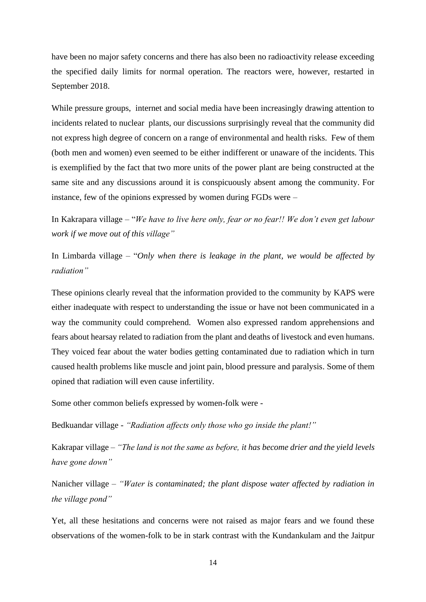have been no major safety concerns and there has also been no radioactivity release exceeding the specified daily limits for normal operation. The reactors were, however, restarted in September 2018.

While pressure groups, internet and social media have been increasingly drawing attention to incidents related to nuclear plants, our discussions surprisingly reveal that the community did not express high degree of concern on a range of environmental and health risks. Few of them (both men and women) even seemed to be either indifferent or unaware of the incidents. This is exemplified by the fact that two more units of the power plant are being constructed at the same site and any discussions around it is conspicuously absent among the community. For instance, few of the opinions expressed by women during FGDs were –

In Kakrapara village – "*We have to live here only, fear or no fear!! We don't even get labour work if we move out of this village"*

In Limbarda village – "*Only when there is leakage in the plant, we would be affected by radiation"* 

These opinions clearly reveal that the information provided to the community by KAPS were either inadequate with respect to understanding the issue or have not been communicated in a way the community could comprehend. Women also expressed random apprehensions and fears about hearsay related to radiation from the plant and deaths of livestock and even humans. They voiced fear about the water bodies getting contaminated due to radiation which in turn caused health problems like muscle and joint pain, blood pressure and paralysis. Some of them opined that radiation will even cause infertility.

Some other common beliefs expressed by women-folk were -

Bedkuandar village *- "Radiation affects only those who go inside the plant!"*

Kakrapar village *– "The land is not the same as before, it has become drier and the yield levels have gone down"* 

Nanicher village *– "Water is contaminated; the plant dispose water affected by radiation in the village pond"*

Yet, all these hesitations and concerns were not raised as major fears and we found these observations of the women-folk to be in stark contrast with the Kundankulam and the Jaitpur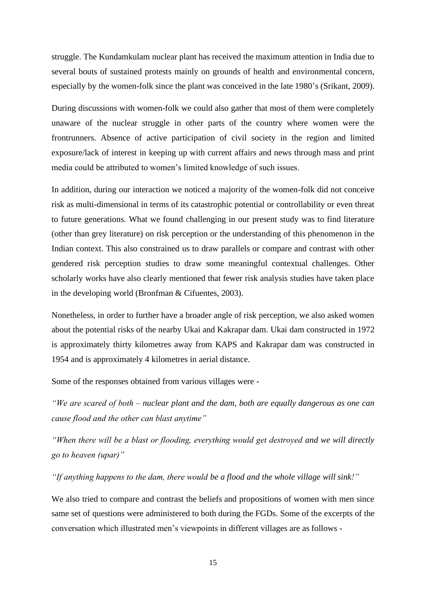struggle. The Kundamkulam nuclear plant has received the maximum attention in India due to several bouts of sustained protests mainly on grounds of health and environmental concern, especially by the women-folk since the plant was conceived in the late 1980's (Srikant, 2009).

During discussions with women-folk we could also gather that most of them were completely unaware of the nuclear struggle in other parts of the country where women were the frontrunners. Absence of active participation of civil society in the region and limited exposure/lack of interest in keeping up with current affairs and news through mass and print media could be attributed to women's limited knowledge of such issues.

In addition, during our interaction we noticed a majority of the women-folk did not conceive risk as multi-dimensional in terms of its catastrophic potential or controllability or even threat to future generations. What we found challenging in our present study was to find literature (other than grey literature) on risk perception or the understanding of this phenomenon in the Indian context. This also constrained us to draw parallels or compare and contrast with other gendered risk perception studies to draw some meaningful contextual challenges. Other scholarly works have also clearly mentioned that fewer risk analysis studies have taken place in the developing world (Bronfman & Cifuentes, 2003).

Nonetheless, in order to further have a broader angle of risk perception, we also asked women about the potential risks of the nearby Ukai and Kakrapar dam. Ukai dam constructed in 1972 is approximately thirty kilometres away from KAPS and Kakrapar dam was constructed in 1954 and is approximately 4 kilometres in aerial distance.

Some of the responses obtained from various villages were -

*"We are scared of both – nuclear plant and the dam, both are equally dangerous as one can cause flood and the other can blast anytime"* 

*"When there will be a blast or flooding, everything would get destroyed and we will directly go to heaven (upar)"*

*"If anything happens to the dam, there would be a flood and the whole village will sink!"*

We also tried to compare and contrast the beliefs and propositions of women with men since same set of questions were administered to both during the FGDs. Some of the excerpts of the conversation which illustrated men's viewpoints in different villages are as follows -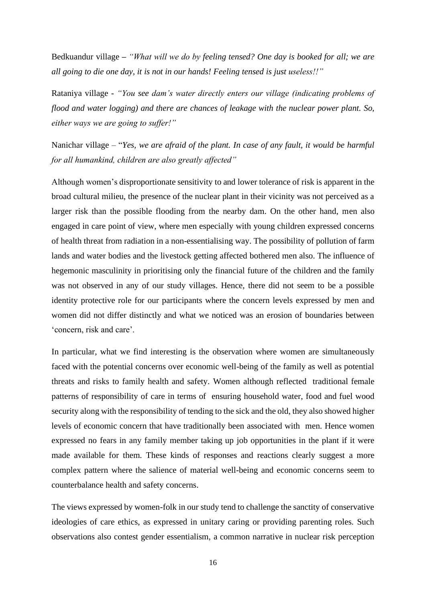Bedkuandur village **–** *"What will we do by feeling tensed? One day is booked for all; we are all going to die one day, it is not in our hands! Feeling tensed is just useless!!"* 

Rataniya village *- "You see dam's water directly enters our village (indicating problems of flood and water logging) and there are chances of leakage with the nuclear power plant. So, either ways we are going to suffer!"* 

Nanichar village – "*Yes, we are afraid of the plant. In case of any fault, it would be harmful for all humankind, children are also greatly affected"*

Although women's disproportionate sensitivity to and lower tolerance of risk is apparent in the broad cultural milieu, the presence of the nuclear plant in their vicinity was not perceived as a larger risk than the possible flooding from the nearby dam. On the other hand, men also engaged in care point of view, where men especially with young children expressed concerns of health threat from radiation in a non-essentialising way. The possibility of pollution of farm lands and water bodies and the livestock getting affected bothered men also. The influence of hegemonic masculinity in prioritising only the financial future of the children and the family was not observed in any of our study villages. Hence, there did not seem to be a possible identity protective role for our participants where the concern levels expressed by men and women did not differ distinctly and what we noticed was an erosion of boundaries between 'concern, risk and care'.

In particular, what we find interesting is the observation where women are simultaneously faced with the potential concerns over economic well-being of the family as well as potential threats and risks to family health and safety. Women although reflected traditional female patterns of responsibility of care in terms of ensuring household water, food and fuel wood security along with the responsibility of tending to the sick and the old, they also showed higher levels of economic concern that have traditionally been associated with men. Hence women expressed no fears in any family member taking up job opportunities in the plant if it were made available for them. These kinds of responses and reactions clearly suggest a more complex pattern where the salience of material well-being and economic concerns seem to counterbalance health and safety concerns.

The views expressed by women-folk in our study tend to challenge the sanctity of conservative ideologies of care ethics, as expressed in unitary caring or providing parenting roles. Such observations also contest gender essentialism, a common narrative in nuclear risk perception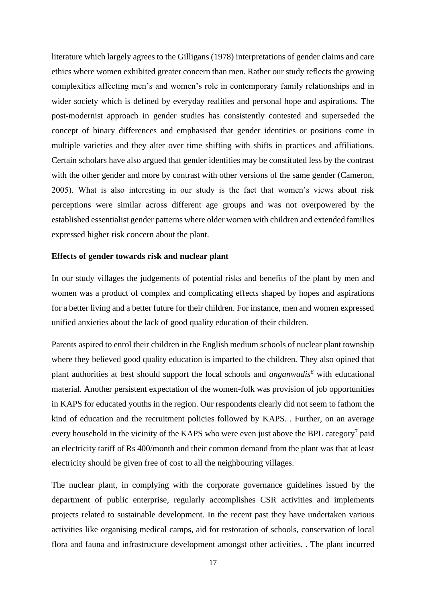literature which largely agrees to the Gilligans (1978) interpretations of gender claims and care ethics where women exhibited greater concern than men. Rather our study reflects the growing complexities affecting men's and women's role in contemporary family relationships and in wider society which is defined by everyday realities and personal hope and aspirations. The post-modernist approach in gender studies has consistently contested and superseded the concept of binary differences and emphasised that gender identities or positions come in multiple varieties and they alter over time shifting with shifts in practices and affiliations. Certain scholars have also argued that gender identities may be constituted less by the contrast with the other gender and more by contrast with other versions of the same gender (Cameron, 2005). What is also interesting in our study is the fact that women's views about risk perceptions were similar across different age groups and was not overpowered by the established essentialist gender patterns where older women with children and extended families expressed higher risk concern about the plant.

#### **Effects of gender towards risk and nuclear plant**

In our study villages the judgements of potential risks and benefits of the plant by men and women was a product of complex and complicating effects shaped by hopes and aspirations for a better living and a better future for their children. For instance, men and women expressed unified anxieties about the lack of good quality education of their children.

Parents aspired to enrol their children in the English medium schools of nuclear plant township where they believed good quality education is imparted to the children. They also opined that plant authorities at best should support the local schools and *anganwadis<sup>6</sup>* with educational material. Another persistent expectation of the women-folk was provision of job opportunities in KAPS for educated youths in the region. Our respondents clearly did not seem to fathom the kind of education and the recruitment policies followed by KAPS. . Further, on an average every household in the vicinity of the KAPS who were even just above the BPL category<sup>7</sup> paid an electricity tariff of Rs 400/month and their common demand from the plant was that at least electricity should be given free of cost to all the neighbouring villages.

The nuclear plant, in complying with the corporate governance guidelines issued by the department of public enterprise, regularly accomplishes CSR activities and implements projects related to sustainable development. In the recent past they have undertaken various activities like organising medical camps, aid for restoration of schools, conservation of local flora and fauna and infrastructure development amongst other activities. . The plant incurred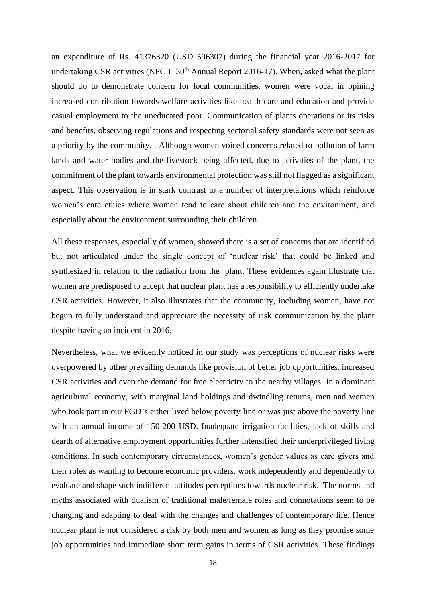an expenditure of Rs. 41376320 (USD 596307) during the financial year 2016-2017 for undertaking CSR activities (NPCIL  $30<sup>th</sup>$  Annual Report 2016-17). When, asked what the plant should do to demonstrate concern for local communities, women were vocal in opining increased contribution towards welfare activities like health care and education and provide casual employment to the uneducated poor. Communication of plants operations or its risks and benefits, observing regulations and respecting sectorial safety standards were not seen as a priority by the community. . Although women voiced concerns related to pollution of farm lands and water bodies and the livestock being affected, due to activities of the plant, the commitment of the plant towards environmental protection was still not flagged as a significant aspect. This observation is in stark contrast to a number of interpretations which reinforce women's care ethics where women tend to care about children and the environment, and especially about the environment surrounding their children.

All these responses, especially of women, showed there is a set of concerns that are identified but not articulated under the single concept of 'nuclear risk' that could be linked and synthesized in relation to the radiation from the plant. These evidences again illustrate that women are predisposed to accept that nuclear plant has a responsibility to efficiently undertake CSR activities. However, it also illustrates that the community, including women, have not begun to fully understand and appreciate the necessity of risk communication by the plant despite having an incident in 2016.

Nevertheless, what we evidently noticed in our study was perceptions of nuclear risks were overpowered by other prevailing demands like provision of better job opportunities, increased CSR activities and even the demand for free electricity to the nearby villages. In a dominant agricultural economy, with marginal land holdings and dwindling returns, men and women who took part in our FGD's either lived below poverty line or was just above the poverty line with an annual income of 150-200 USD. Inadequate irrigation facilities, lack of skills and dearth of alternative employment opportunities further intensified their underprivileged living conditions. In such contemporary circumstances, women's gender values as care givers and their roles as wanting to become economic providers, work independently and dependently to evaluate and shape such indifferent attitudes perceptions towards nuclear risk. The norms and myths associated with dualism of traditional male/female roles and connotations seem to be changing and adapting to deal with the changes and challenges of contemporary life. Hence nuclear plant is not considered a risk by both men and women as long as they promise some job opportunities and immediate short term gains in terms of CSR activities. These findings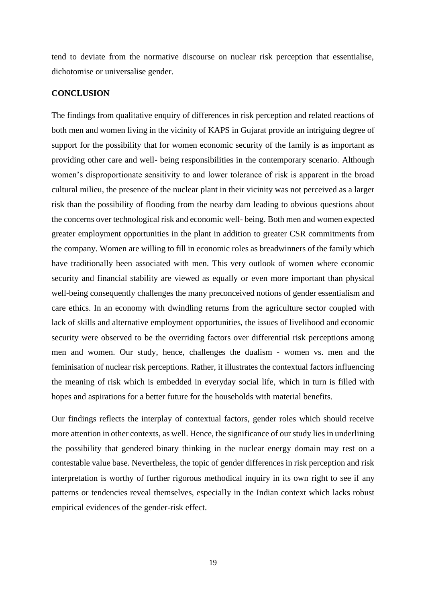tend to deviate from the normative discourse on nuclear risk perception that essentialise, dichotomise or universalise gender.

#### **CONCLUSION**

The findings from qualitative enquiry of differences in risk perception and related reactions of both men and women living in the vicinity of KAPS in Gujarat provide an intriguing degree of support for the possibility that for women economic security of the family is as important as providing other care and well- being responsibilities in the contemporary scenario. Although women's disproportionate sensitivity to and lower tolerance of risk is apparent in the broad cultural milieu, the presence of the nuclear plant in their vicinity was not perceived as a larger risk than the possibility of flooding from the nearby dam leading to obvious questions about the concerns over technological risk and economic well- being. Both men and women expected greater employment opportunities in the plant in addition to greater CSR commitments from the company. Women are willing to fill in economic roles as breadwinners of the family which have traditionally been associated with men. This very outlook of women where economic security and financial stability are viewed as equally or even more important than physical well-being consequently challenges the many preconceived notions of gender essentialism and care ethics. In an economy with dwindling returns from the agriculture sector coupled with lack of skills and alternative employment opportunities, the issues of livelihood and economic security were observed to be the overriding factors over differential risk perceptions among men and women. Our study, hence, challenges the dualism - women vs. men and the feminisation of nuclear risk perceptions. Rather, it illustrates the contextual factors influencing the meaning of risk which is embedded in everyday social life, which in turn is filled with hopes and aspirations for a better future for the households with material benefits.

Our findings reflects the interplay of contextual factors, gender roles which should receive more attention in other contexts, as well. Hence, the significance of our study lies in underlining the possibility that gendered binary thinking in the nuclear energy domain may rest on a contestable value base. Nevertheless, the topic of gender differences in risk perception and risk interpretation is worthy of further rigorous methodical inquiry in its own right to see if any patterns or tendencies reveal themselves, especially in the Indian context which lacks robust empirical evidences of the gender-risk effect.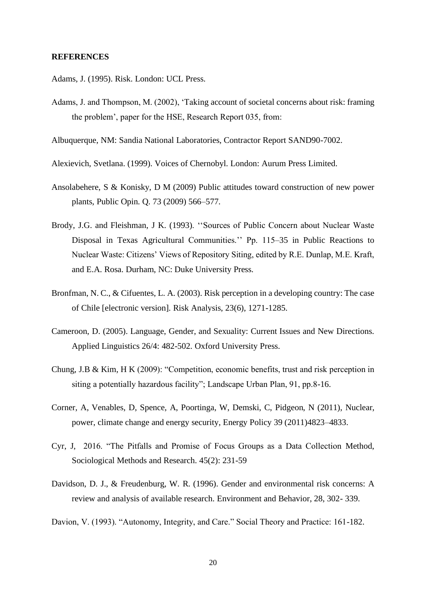#### **REFERENCES**

- Adams, J. (1995). Risk. London: UCL Press.
- Adams, J. and Thompson, M. (2002), 'Taking account of societal concerns about risk: framing the problem', paper for the HSE, Research Report 035, from:
- Albuquerque, NM: Sandia National Laboratories, Contractor Report SAND90-7002.
- Alexievich, Svetlana. (1999). Voices of Chernobyl. London: Aurum Press Limited.
- Ansolabehere, S & Konisky, D M (2009) Public attitudes toward construction of new power plants, Public Opin. Q. 73 (2009) 566–577.
- Brody, J.G. and Fleishman, J K. (1993). ''Sources of Public Concern about Nuclear Waste Disposal in Texas Agricultural Communities.'' Pp. 115–35 in Public Reactions to Nuclear Waste: Citizens' Views of Repository Siting, edited by R.E. Dunlap, M.E. Kraft, and E.A. Rosa. Durham, NC: Duke University Press.
- Bronfman, N. C., & Cifuentes, L. A. (2003). Risk perception in a developing country: The case of Chile [electronic version]. Risk Analysis, 23(6), 1271-1285.
- Cameroon, D. (2005). Language, Gender, and Sexuality: Current Issues and New Directions. Applied Linguistics 26/4: 482-502. Oxford University Press.
- Chung, J.B & Kim, H K (2009): "Competition, economic benefits, trust and risk perception in siting a potentially hazardous facility"; Landscape Urban Plan, 91, pp.8-16.
- Corner, A, Venables, D, Spence, A, Poortinga, W, Demski, C, Pidgeon, N (2011), Nuclear, power, climate change and energy security, Energy Policy 39 (2011)4823–4833.
- Cyr, J, 2016. "The Pitfalls and Promise of Focus Groups as a Data Collection Method, Sociological Methods and Research. 45(2): 231-59
- Davidson, D. J., & Freudenburg, W. R. (1996). Gender and environmental risk concerns: A review and analysis of available research. Environment and Behavior, 28, 302- 339.
- Davion, V. (1993). "Autonomy, Integrity, and Care." Social Theory and Practice: 161-182.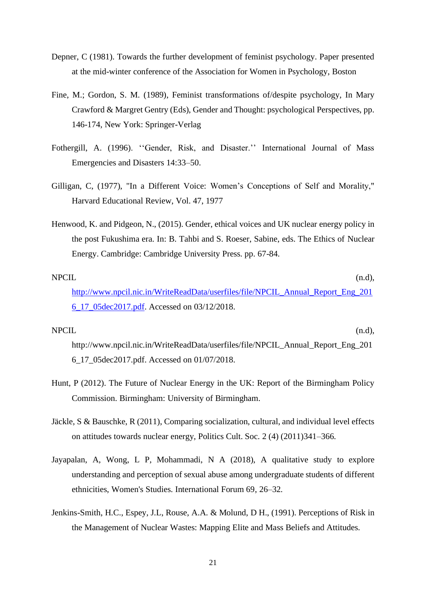- Depner, C (1981). Towards the further development of feminist psychology. Paper presented at the mid-winter conference of the Association for Women in Psychology, Boston
- Fine, M.; Gordon, S. M. (1989), Feminist transformations of/despite psychology, In Mary Crawford & Margret Gentry (Eds), Gender and Thought: psychological Perspectives, pp. 146-174, New York: Springer-Verlag
- Fothergill, A. (1996). ''Gender, Risk, and Disaster.'' International Journal of Mass Emergencies and Disasters 14:33–50.
- Gilligan, C, (1977), "In a Different Voice: Women's Conceptions of Self and Morality," Harvard Educational Review, Vol. 47, 1977
- Henwood, K. and Pidgeon, N., (2015). Gender, ethical voices and UK nuclear energy policy in the post Fukushima era. In: B. Tahbi and S. Roeser, Sabine, eds. The Ethics of Nuclear Energy. Cambridge: Cambridge University Press. pp. 67-84.

## NPCIL (n.d), [http://www.npcil.nic.in/WriteReadData/userfiles/file/NPCIL\\_Annual\\_Report\\_Eng\\_201](http://www.npcil.nic.in/WriteReadData/userfiles/file/NPCIL_Annual_Report_Eng_2016_17_05dec2017.pdf) [6\\_17\\_05dec2017.pdf.](http://www.npcil.nic.in/WriteReadData/userfiles/file/NPCIL_Annual_Report_Eng_2016_17_05dec2017.pdf) Accessed on 03/12/2018.

#### NPCIL (n.d),

[http://www.npcil.nic.in/WriteReadData/userfiles/file/NPCIL\\_Annual\\_Report\\_Eng\\_201](http://www.npcil.nic.in/WriteReadData/userfiles/file/NPCIL_Annual_Report_Eng_2016_17_05dec2017.pdf) [6\\_17\\_05dec2017.pdf.](http://www.npcil.nic.in/WriteReadData/userfiles/file/NPCIL_Annual_Report_Eng_2016_17_05dec2017.pdf) Accessed on 01/07/2018.

- Hunt, P (2012). The Future of Nuclear Energy in the UK: Report of the Birmingham Policy Commission. Birmingham: University of Birmingham.
- Jäckle, S & Bauschke, R (2011), Comparing socialization, cultural, and individual level effects on attitudes towards nuclear energy, Politics Cult. Soc. 2 (4) (2011)341–366.
- Jayapalan, A, Wong, L P, Mohammadi, N A (2018), A qualitative study to explore understanding and perception of sexual abuse among undergraduate students of different ethnicities, Women's Studies. International Forum 69, 26–32.
- Jenkins-Smith, H.C., Espey, J.L, Rouse, A.A. & Molund, D H., (1991). Perceptions of Risk in the Management of Nuclear Wastes: Mapping Elite and Mass Beliefs and Attitudes.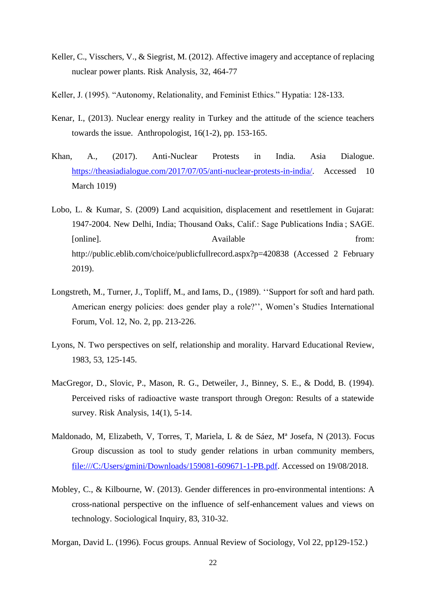- Keller, C., Visschers, V., & Siegrist, M. (2012). Affective imagery and acceptance of replacing nuclear power plants. Risk Analysis, 32, 464-77
- Keller, J. (1995). "Autonomy, Relationality, and Feminist Ethics." Hypatia: 128-133.
- Kenar, I., (2013). Nuclear energy reality in Turkey and the attitude of the science teachers towards the issue. Anthropologist, 16(1-2), pp. 153-165.
- Khan, A., (2017). Anti-Nuclear Protests in India. Asia Dialogue. [https://theasiadialogue.com/2017/07/05/anti-nuclear-protests-in-india/.](https://theasiadialogue.com/2017/07/05/anti-nuclear-protests-in-india/) Accessed 10 March 1019)
- Lobo, L. & Kumar, S. (2009) Land acquisition, displacement and resettlement in Gujarat: 1947-2004. New Delhi, India; Thousand Oaks, Calif.: Sage Publications India ; SAGE. [online]. Available from: http://public.eblib.com/choice/publicfullrecord.aspx?p=420838 (Accessed 2 February 2019).
- Longstreth, M., Turner, J., Topliff, M., and Iams, D., (1989). ''Support for soft and hard path. American energy policies: does gender play a role?'', Women's Studies International Forum, Vol. 12, No. 2, pp. 213-226.
- Lyons, N. Two perspectives on self, relationship and morality. Harvard Educational Review, 1983, 53, 125-145.
- MacGregor, D., Slovic, P., Mason, R. G., Detweiler, J., Binney, S. E., & Dodd, B. (1994). Perceived risks of radioactive waste transport through Oregon: Results of a statewide survey. Risk Analysis, 14(1), 5-14.
- Maldonado, M, Elizabeth, V, Torres, T, Mariela, L & de Sáez, Mª Josefa, N (2013). Focus Group discussion as tool to study gender relations in urban community members, [file:///C:/Users/gmini/Downloads/159081-609671-1-PB.pdf.](file:///C:/Users/gmini/Downloads/159081-609671-1-PB.pdf) Accessed on 19/08/2018.
- Mobley, C., & Kilbourne, W. (2013). Gender differences in pro-environmental intentions: A cross-national perspective on the influence of self-enhancement values and views on technology. Sociological Inquiry, 83, 310-32.
- Morgan, David L. (1996). Focus groups. Annual Review of Sociology, Vol 22, pp129-152.)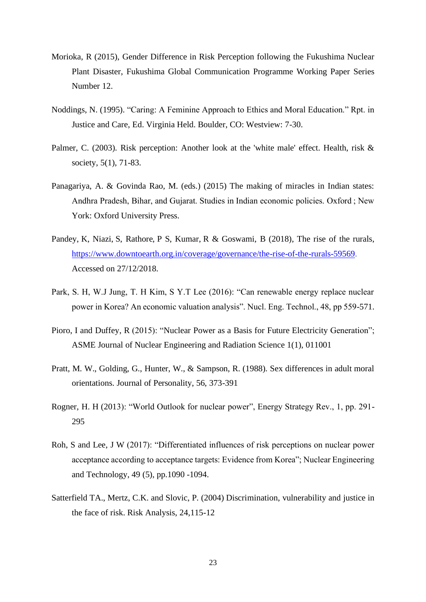- Morioka, R (2015), Gender Difference in Risk Perception following the Fukushima Nuclear Plant Disaster, Fukushima Global Communication Programme Working Paper Series Number 12.
- Noddings, N. (1995). "Caring: A Feminine Approach to Ethics and Moral Education." Rpt. in Justice and Care, Ed. Virginia Held. Boulder, CO: Westview: 7-30.
- Palmer, C. (2003). Risk perception: Another look at the 'white male' effect. Health, risk & society, 5(1), 71-83.
- Panagariya, A. & Govinda Rao, M. (eds.) (2015) The making of miracles in Indian states: Andhra Pradesh, Bihar, and Gujarat. Studies in Indian economic policies. Oxford ; New York: Oxford University Press.
- Pandey, K, Niazi, S, Rathore, P S, Kumar, R & Goswami, B (2018), The rise of the rurals, [https://www.downtoearth.org.in/coverage/governance/the-rise-of-the-rurals-59569.](https://www.downtoearth.org.in/coverage/governance/the-rise-of-the-rurals-59569) Accessed on 27/12/2018.
- Park, S. H, W.J Jung, T. H Kim, S Y.T Lee (2016): "Can renewable energy replace nuclear power in Korea? An economic valuation analysis". Nucl. Eng. Technol., 48, pp 559-571.
- Pioro, I and Duffey, R (2015): "Nuclear Power as a Basis for Future Electricity Generation"; ASME Journal of Nuclear Engineering and Radiation Science 1(1), 011001
- Pratt, M. W., Golding, G., Hunter, W., & Sampson, R. (1988). Sex differences in adult moral orientations. Journal of Personality, 56, 373-391
- Rogner, H. H (2013): "World Outlook for nuclear power", Energy Strategy Rev., 1, pp. 291- 295
- Roh, S and Lee, J W (2017): "Differentiated influences of risk perceptions on nuclear power acceptance according to acceptance targets: Evidence from Korea"; Nuclear Engineering and Technology, 49 (5), pp.1090 -1094.
- Satterfield TA., Mertz, C.K. and Slovic, P. (2004) Discrimination, vulnerability and justice in the face of risk. Risk Analysis, 24,115-12